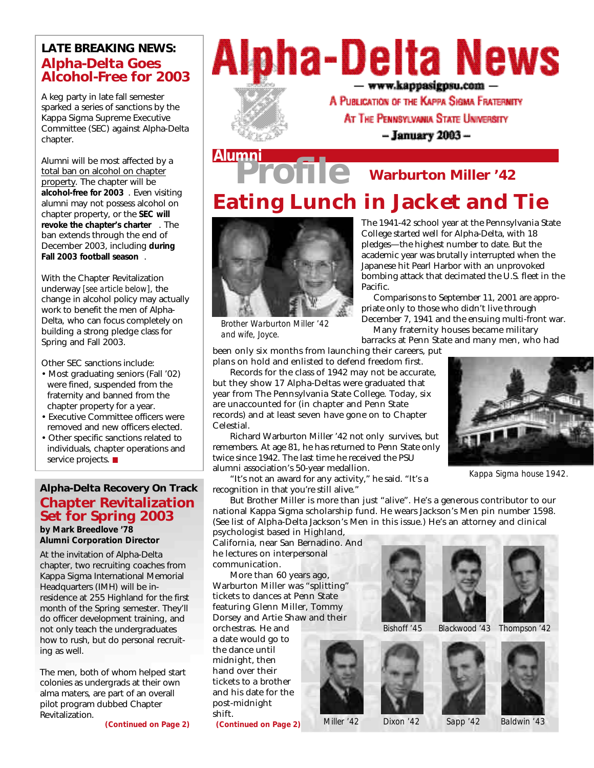### **LATE BREAKING NEWS: Alpha-Delta Goes Alcohol-Free for 2003**

A keg party in late fall semester sparked a series of sanctions by the Kappa Sigma Supreme Executive Committee (SEC) against Alpha-Delta chapter.

Alumni will be most affected by a total ban on alcohol on chapter property. The chapter will be **alcohol-free for 2003** . Even visiting alumni may not possess alcohol on chapter property, or the **SEC will revoke the chapter's charter** . The ban extends through the end of December 2003, including **during Fall 2003 football season** .

With the Chapter Revitalization underway *[see article below]*, the change in alcohol policy may actually work to benefit the men of Alpha-Delta, who can focus completely on building a strong pledge class for Spring and Fall 2003.

Other SEC sanctions include:

- Most graduating seniors (Fall '02) were fined, suspended from the fraternity and banned from the chapter property for a year.
- Executive Committee officers were removed and new officers elected.
- Other specific sanctions related to individuals, chapter operations and service projects.

### **Alpha-Delta Recovery On Track Chapter Revitalization Set for Spring 2003**

*by Mark Breedlove '78 Alumni Corporation Director*

At the invitation of Alpha-Delta chapter, two recruiting coaches from Kappa Sigma International Memorial Headquarters (IMH) will be inresidence at 255 Highland for the first month of the Spring semester. They'll do officer development training, and not only teach the undergraduates how to rush, but do personal recruiting as well.

The men, both of whom helped start colonies as undergrads at their own alma maters, are part of an overall pilot program dubbed Chapter Revitalization.

*(Continued on Page 2)*

## **Alpha-Delta News**  $-$  www.kappasigpsu.com  $-$



A PUBLICATION OF THE KAPPA SIGMA FRATERMITY

AT THE PENNSYLVANIA STATE UNIVERSITY

- January 2003 -

The 1941-42 school year at the Pennsylvania State College started well for Alpha-Delta, with 18 pledges—the highest number to date. But the academic year was brutally interrupted when the Japanese hit Pearl Harbor with an unprovoked bombing attack that decimated the U.S. fleet in the

Comparisons to September 11, 2001 are appro-

priate only to those who didn't live through December 7, 1941 and the ensuing multi-front war. Many fraternity houses became military barracks at Penn State and many men, who had

## **Eating Lunch in Jacket and Tie Pro***file* **Alumni Warburton Miller '42**

Pacific.



*Brother Warburton Miller '42 and wife, Joyce.*

been only six months from launching their careers, put plans on hold and enlisted to defend freedom first.

Records for the class of 1942 may not be accurate, but they show 17 Alpha-Deltas were graduated that year from The Pennsylvania State College. Today, six are unaccounted for (in chapter and Penn State records) and at least seven have gone on to Chapter Celestial.

Richard Warburton Miller '42 not only survives, but remembers. At age 81, he has returned to Penn State only twice since 1942. The last time he received the PSU alumni association's 50-year medallion.

"It's not an award for any activity," he said. "It's a recognition in that you're still alive."

But Brother Miller is more than just "alive". He's a generous contributor to our national Kappa Sigma scholarship fund. He wears Jackson's Men pin number 1598. (See list of Alpha-Delta Jackson's Men in this issue.) He's an attorney and clinical

psychologist based in Highland, California, near San Bernadino. And he lectures on interpersonal communication.

More than 60 years ago, Warburton Miller was "splitting" tickets to dances at Penn State featuring Glenn Miller, Tommy Dorsey and Artie Shaw and their

orchestras. He and a date would go to the dance until midnight, then hand over their tickets to a brother and his date for the post-midnight shift.

*(Continued on Page 2)*











*Bishoff '45 Blackwood '43 Thompson '42*





*Miller '42 Dixon '42 Sapp '42 Baldwin '43*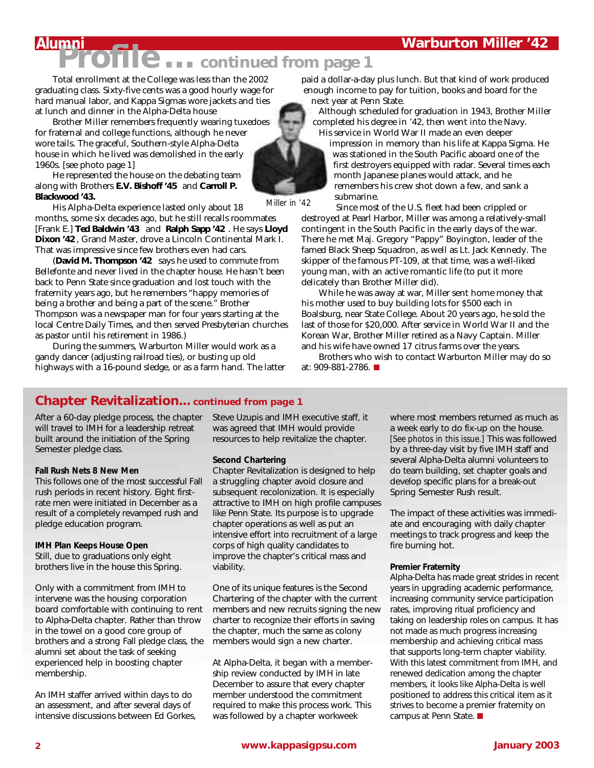# **Pro***file … continued from page 1*

Total enrollment at the College was less than the 2002 graduating class. Sixty-five cents was a good hourly wage for hard manual labor, and Kappa Sigmas wore jackets and ties at lunch and dinner in the Alpha-Delta house

Brother Miller remembers frequently wearing tuxedoes for fraternal and college functions, although he never wore tails. The graceful, Southern-style Alpha-Delta house in which he lived was demolished in the early 1960s. [see photo page 1]

He represented the house on the debating team along with Brothers **E.V. Bishoff '45** and **Carroll P. Blackwood '43.**

His Alpha-Delta experience lasted only about 18 months, some six decades ago, but he still recalls roommates [Frank E.] **Ted Baldwin '43** and **Ralph Sapp '42** . He says **Lloyd Dixon '42** , Grand Master, drove a Lincoln Continental Mark I. That was impressive since few brothers even had cars.

(**David M. Thompson '42** says he used to commute from Bellefonte and never lived in the chapter house. He hasn't been back to Penn State since graduation and lost touch with the fraternity years ago, but he remembers "happy memories of being a brother and being a part of the scene." Brother Thompson was a newspaper man for four years starting at the local Centre Daily Times, and then served Presbyterian churches as pastor until his retirement in 1986.)

During the summers, Warburton Miller would work as a gandy dancer (adjusting railroad ties), or busting up old highways with a 16-pound sledge, or as a farm hand. The latter paid a dollar-a-day plus lunch. But that kind of work produced enough income to pay for tuition, books and board for the next year at Penn State.

Although scheduled for graduation in 1943, Brother Miller completed his degree in '42, then went into the Navy. His service in World War II made an even deeper

impression in memory than his life at Kappa Sigma. He was stationed in the South Pacific aboard one of the first destroyers equipped with radar. Several times each month Japanese planes would attack, and he remembers his crew shot down a few, and sank a submarine.

Since most of the U.S. fleet had been crippled or destroyed at Pearl Harbor, Miller was among a relatively-small contingent in the South Pacific in the early days of the war. There he met Maj. Gregory "Pappy" Boyington, leader of the famed Black Sheep Squadron, as well as Lt. Jack Kennedy. The skipper of the famous PT-109, at that time, was a well-liked young man, with an active romantic life (to put it more delicately than Brother Miller did).

While he was away at war, Miller sent home money that his mother used to buy building lots for \$500 each in Boalsburg, near State College. About 20 years ago, he sold the last of those for \$20,000. After service in World War II and the Korean War, Brother Miller retired as a Navy Captain. Miller and his wife have owned 17 citrus farms over the years.

Brothers who wish to contact Warburton Miller may do so at: 909-881-2786.

### **Chapter Revitalization... continued from page 1**

After a 60-day pledge process, the chapter will travel to IMH for a leadership retreat built around the initiation of the Spring Semester pledge class.

#### **Fall Rush Nets 8 New Men**

This follows one of the most successful Fall rush periods in recent history. Eight firstrate men were initiated in December as a result of a completely revamped rush and pledge education program.

#### **IMH Plan Keeps House Open**

Still, due to graduations only eight brothers live in the house this Spring.

Only with a commitment from IMH to intervene was the housing corporation board comfortable with continuing to rent to Alpha-Delta chapter. Rather than throw in the towel on a good core group of brothers and a strong Fall pledge class, the alumni set about the task of seeking experienced help in boosting chapter membership.

An IMH staffer arrived within days to do an assessment, and after several days of intensive discussions between Ed Gorkes, Steve Uzupis and IMH executive staff, it was agreed that IMH would provide resources to help revitalize the chapter.

#### **Second Chartering**

Chapter Revitalization is designed to help a struggling chapter avoid closure and subsequent recolonization. It is especially attractive to IMH on high profile campuses like Penn State. Its purpose is to upgrade chapter operations as well as put an intensive effort into recruitment of a large corps of high quality candidates to improve the chapter's critical mass and viability.

One of its unique features is the Second Chartering of the chapter with the current members and new recruits signing the new charter to recognize their efforts in saving the chapter, much the same as colony members would sign a new charter.

At Alpha-Delta, it began with a membership review conducted by IMH in late December to assure that every chapter member understood the commitment required to make this process work. This was followed by a chapter workweek

where most members returned as much as a week early to do fix-up on the house. *[See photos in this issue.]* This was followed by a three-day visit by five IMH staff and several Alpha-Delta alumni volunteers to do team building, set chapter goals and develop specific plans for a break-out Spring Semester Rush result.

The impact of these activities was immediate and encouraging with daily chapter meetings to track progress and keep the fire burning hot.

#### **Premier Fraternity**

Alpha-Delta has made great strides in recent years in upgrading academic performance, increasing community service participation rates, improving ritual proficiency and taking on leadership roles on campus. It has not made as much progress increasing membership and achieving critical mass that supports long-term chapter viability. With this latest commitment from IMH, and renewed dedication among the chapter members, it looks like Alpha-Delta is well positioned to address this critical item as it strives to become a premier fraternity on campus at Penn State.



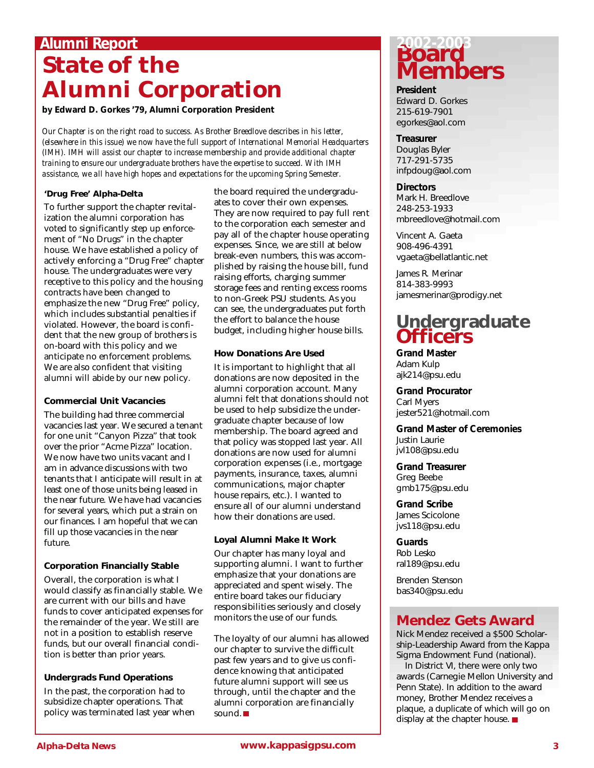### **Alumni Report**

## **State of the Alumni Corporation**

*by Edward D. Gorkes '79, Alumni Corporation President*

*Our Chapter is on the right road to success. As Brother Breedlove describes in his letter, (elsewhere in this issue) we now have the full support of International Memorial Headquarters (IMH). IMH will assist our chapter to increase membership and provide additional chapter training to ensure our undergraduate brothers have the expertise to succeed. With IMH assistance, we all have high hopes and expectations for the upcoming Spring Semester.*

#### **'Drug Free' Alpha-Delta**

To further support the chapter revitalization the alumni corporation has voted to significantly step up enforcement of "No Drugs" in the chapter house. We have established a policy of actively enforcing a "Drug Free" chapter house. The undergraduates were very receptive to this policy and the housing contracts have been changed to emphasize the new "Drug Free" policy, which includes substantial penalties if violated. However, the board is confident that the new group of brothers is on-board with this policy and we anticipate no enforcement problems. We are also confident that visiting alumni will abide by our new policy.

#### **Commercial Unit Vacancies**

The building had three commercial vacancies last year. We secured a tenant for one unit "Canyon Pizza" that took over the prior "Acme Pizza" location. We now have two units vacant and I am in advance discussions with two tenants that I anticipate will result in at least one of those units being leased in the near future. We have had vacancies for several years, which put a strain on our finances. I am hopeful that we can fill up those vacancies in the near future.

#### **Corporation Financially Stable**

Overall, the corporation is what I would classify as financially stable. We are current with our bills and have funds to cover anticipated expenses for the remainder of the year. We still are not in a position to establish reserve funds, but our overall financial condition is better than prior years.

#### **Undergrads Fund Operations**

In the past, the corporation had to subsidize chapter operations. That policy was terminated last year when the board required the undergraduates to cover their own expenses. They are now required to pay full rent to the corporation each semester and pay all of the chapter house operating expenses. Since, we are still at below break-even numbers, this was accomplished by raising the house bill, fund raising efforts, charging summer storage fees and renting excess rooms to non-Greek PSU students. As you can see, the undergraduates put forth the effort to balance the house budget, including higher house bills.

#### **How Donations Are Used**

It is important to highlight that all donations are now deposited in the alumni corporation account. Many alumni felt that donations should not be used to help subsidize the undergraduate chapter because of low membership. The board agreed and that policy was stopped last year. All donations are now used for alumni corporation expenses (i.e., mortgage payments, insurance, taxes, alumni communications, major chapter house repairs, etc.). I wanted to ensure all of our alumni understand how their donations are used.

#### **Loyal Alumni Make It Work**

Our chapter has many loyal and supporting alumni. I want to further emphasize that your donations are appreciated and spent wisely. The entire board takes our fiduciary responsibilities seriously and closely monitors the use of our funds.

The loyalty of our alumni has allowed our chapter to survive the difficult past few years and to give us confidence knowing that anticipated future alumni support will see us through, until the chapter and the alumni corporation are financially sound.

### **Board Members 2002-2003**

**President** Edward D. Gorkes 215-619-7901 egorkes@aol.com

**Treasurer** Douglas Byler 717-291-5735 infpdoug@aol.com

**Directors** Mark H. Breedlove 248-253-1933 mbreedlove@hotmail.com

Vincent A. Gaeta 908-496-4391 vgaeta@bellatlantic.net

James R. Merinar 814-383-9993 jamesmerinar@prodigy.net

## **Undergraduate Officers**

**Grand Master** Adam Kulp ajk214@psu.edu

**Grand Procurator** Carl Myers jester521@hotmail.com

**Grand Master of Ceremonies** Justin Laurie jvl108@psu.edu

**Grand Treasurer** Greg Beebe gmb175@psu.edu

**Grand Scribe** James Scicolone jvs118@psu.edu

**Guards** Rob Lesko ral189@psu.edu

Brenden Stenson bas340@psu.edu

### **Mendez Gets Award**

Nick Mendez received a \$500 Scholarship-Leadership Award from the Kappa Sigma Endowment Fund (national).

In District VI, there were only two awards (Carnegie Mellon University and Penn State). In addition to the award money, Brother Mendez receives a plaque, a duplicate of which will go on display at the chapter house.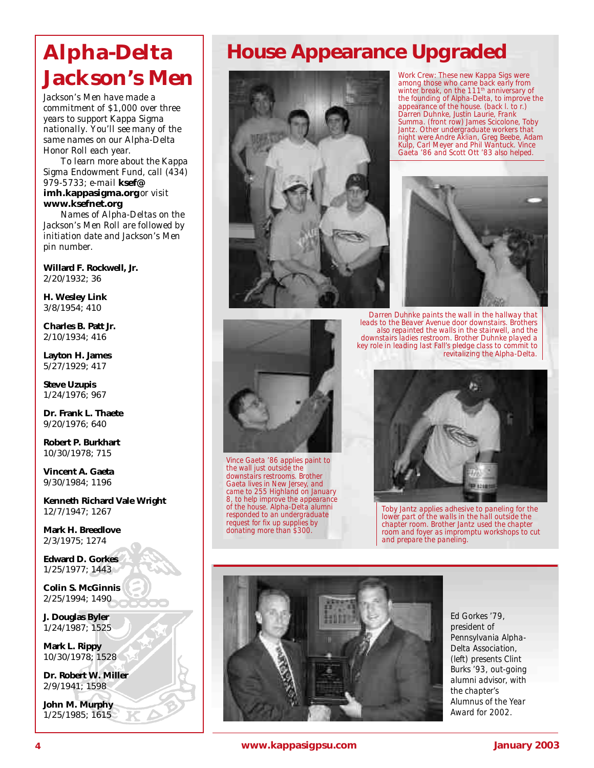## **Alpha-Delta Jackson's Men**

*Jackson's Men have made a commitment of \$1,000 over three years to support Kappa Sigma nationally. You'll see many of the same names on our Alpha-Delta Honor Roll each year.*

*To learn more about the Kappa Sigma Endowment Fund, call (434) 979-5733; e-mail ksef@ imh.kappasigma.org* or visit *www.ksefnet.org.*

*Names of Alpha-Deltas on the Jackson's Men Roll are followed by initiation date and Jackson's Men pin number.*

**Willard F. Rockwell, Jr.** 2/20/1932; 36

**H. Wesley Link** 3/8/1954; 410

**Charles B. Patt Jr.** 2/10/1934; 416

**Layton H. James** 5/27/1929; 417

**Steve Uzupis** 1/24/1976; 967

**Dr. Frank L. Thaete** 9/20/1976; 640

**Robert P. Burkhart** 10/30/1978; 715

**Vincent A. Gaeta** 9/30/1984; 1196

**Kenneth Richard Vale Wright** 12/7/1947; 1267

**Mark H. Breedlove** 2/3/1975; 1274

**Edward D. Gorkes** 1/25/1977; 1443

**Colin S. McGinnis** 2/25/1994; 1490

**J. Douglas Byler** 1/24/1987; 1525

**Mark L. Rippy** 10/30/1978; 1528

**Dr. Robert W. Miller** 2/9/1941; 1598

**John M. Murphy** 1/25/1985; 1615

## **House Appearance Upgraded**



*Vince Gaeta '86 applies paint to the wall just outside the downstairs restrooms. Brother Gaeta lives in New Jersey, and came to 255 Highland on January 8, to help improve the appearance of the house. Alpha-Delta alumni responded to an undergraduate request for fix up supplies by donating more than \$300.*



*Darren Duhnke paints the wall in the hallway that leads to the Beaver Avenue door downstairs. Brothers also repainted the walls in the stairwell, and the downstairs ladies restroom. Brother Duhnke played a*

*Work Crew: These new Kappa Sigs were among those who came back early from winter break, on the 111th anniversary of the founding of Alpha-Delta, to improve the appearance of the house. (back l. to r.) Darren Duhnke, Justin Laurie, Frank Summa. (front row) James Scicolone, Toby Jantz. Other undergraduate workers that night were Andre Aklian, Greg Beebe, Adam Kulp, Carl Meyer and Phil Wantuck. Vince Gaeta '86 and Scott Ott '83 also helped.*

*Toby Jantz applies adhesive to paneling for the lower part of the walls in the hall outside the chapter room. Brother Jantz used the chapter room and foyer as impromptu workshops to cut and prepare the paneling.*



*Ed Gorkes '79, president of Pennsylvania Alpha-Delta Association, (left) presents Clint Burks '93, out-going alumni advisor, with the chapter's Alumnus of the Year Award for 2002.*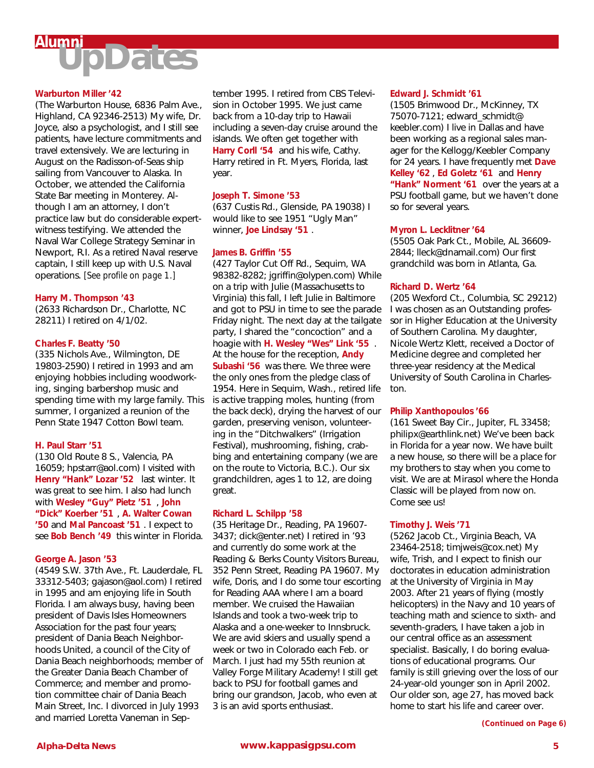

#### **Warburton Miller '42**

(The Warburton House, 6836 Palm Ave., Highland, CA 92346-2513) My wife, Dr. Joyce, also a psychologist, and I still see patients, have lecture commitments and travel extensively. We are lecturing in August on the Radisson-of-Seas ship sailing from Vancouver to Alaska. In October, we attended the California State Bar meeting in Monterey. Although I am an attorney, I don't practice law but do considerable expertwitness testifying. We attended the Naval War College Strategy Seminar in Newport, R.I. As a retired Naval reserve captain, I still keep up with U.S. Naval operations. *[See profile on page 1.]*

#### **Harry M. Thompson '43**

(2633 Richardson Dr., Charlotte, NC 28211) I retired on 4/1/02.

#### **Charles F. Beatty '50**

(335 Nichols Ave., Wilmington, DE 19803-2590) I retired in 1993 and am enjoying hobbies including woodworking, singing barbershop music and spending time with my large family. This summer, I organized a reunion of the Penn State 1947 Cotton Bowl team.

#### **H. Paul Starr '51**

(130 Old Route 8 S., Valencia, PA 16059; hpstarr@aol.com) I visited with **Henry "Hank" Lozar '52** last winter. It was great to see him. I also had lunch with **Wesley "Guy" Pietz '51** , **John "Dick" Koerber '51** , **A. Walter Cowan '50** and **Mal Pancoast '51** . I expect to see **Bob Bench '49** this winter in Florida.

#### **George A. Jason '53**

(4549 S.W. 37th Ave., Ft. Lauderdale, FL 33312-5403; gajason@aol.com) I retired in 1995 and am enjoying life in South Florida. I am always busy, having been president of Davis Isles Homeowners Association for the past four years; president of Dania Beach Neighborhoods United, a council of the City of Dania Beach neighborhoods; member of the Greater Dania Beach Chamber of Commerce; and member and promotion committee chair of Dania Beach Main Street, Inc. I divorced in July 1993 and married Loretta Vaneman in Sep-

tember 1995. I retired from CBS Television in October 1995. We just came back from a 10-day trip to Hawaii including a seven-day cruise around the islands. We often get together with **Harry Corll '54** and his wife, Cathy. Harry retired in Ft. Myers, Florida, last year.

#### **Joseph T. Simone '53**

(637 Custis Rd., Glenside, PA 19038) I would like to see 1951 "Ugly Man" winner, **Joe Lindsay '51** .

#### **James B. Griffin '55**

(427 Taylor Cut Off Rd., Sequim, WA 98382-8282; jgriffin@olypen.com) While on a trip with Julie (Massachusetts to Virginia) this fall, I left Julie in Baltimore and got to PSU in time to see the parade Friday night. The next day at the tailgate party, I shared the "concoction" and a hoagie with **H. Wesley "Wes" Link '55** . At the house for the reception, **Andy Subashi '56** was there. We three were the only ones from the pledge class of 1954. Here in Sequim, Wash., retired life is active trapping moles, hunting (from the back deck), drying the harvest of our garden, preserving venison, volunteering in the "Ditchwalkers" (Irrigation Festival), mushrooming, fishing, crabbing and entertaining company (we are on the route to Victoria, B.C.). Our six grandchildren, ages 1 to 12, are doing great.

#### **Richard L. Schilpp '58**

(35 Heritage Dr., Reading, PA 19607- 3437; dick@enter.net) I retired in '93 and currently do some work at the Reading & Berks County Visitors Bureau, 352 Penn Street, Reading PA 19607. My wife, Doris, and I do some tour escorting for Reading AAA where I am a board member. We cruised the Hawaiian Islands and took a two-week trip to Alaska and a one-weeker to Innsbruck. We are avid skiers and usually spend a week or two in Colorado each Feb. or March. I just had my 55th reunion at Valley Forge Military Academy! I still get back to PSU for football games and bring our grandson, Jacob, who even at 3 is an avid sports enthusiast.

#### **Edward J. Schmidt '61**

(1505 Brimwood Dr., McKinney, TX 75070-7121; edward\_schmidt@ keebler.com) I live in Dallas and have been working as a regional sales manager for the Kellogg/Keebler Company for 24 years. I have frequently met **Dave Kelley '62** , **Ed Goletz '61** and **Henry "Hank" Norment '61** over the years at a PSU football game, but we haven't done so for several years.

#### **Myron L. Lecklitner '64**

(5505 Oak Park Ct., Mobile, AL 36609- 2844; lleck@dnamail.com) Our first grandchild was born in Atlanta, Ga.

#### **Richard D. Wertz '64**

(205 Wexford Ct., Columbia, SC 29212) I was chosen as an Outstanding professor in Higher Education at the University of Southern Carolina. My daughter, Nicole Wertz Klett, received a Doctor of Medicine degree and completed her three-year residency at the Medical University of South Carolina in Charleston.

#### **Philip Xanthopoulos '66**

(161 Sweet Bay Cir., Jupiter, FL 33458; philipx@earthlink.net) We've been back in Florida for a year now. We have built a new house, so there will be a place for my brothers to stay when you come to visit. We are at Mirasol where the Honda Classic will be played from now on. Come see us!

#### **Timothy J. Weis '71**

(5262 Jacob Ct., Virginia Beach, VA 23464-2518; timjweis@cox.net) My wife, Trish, and I expect to finish our doctorates in education administration at the University of Virginia in May 2003. After 21 years of flying (mostly helicopters) in the Navy and 10 years of teaching math and science to sixth- and seventh-graders, I have taken a job in our central office as an assessment specialist. Basically, I do boring evaluations of educational programs. Our family is still grieving over the loss of our 24-year-old younger son in April 2002. Our older son, age 27, has moved back home to start his life and career over.